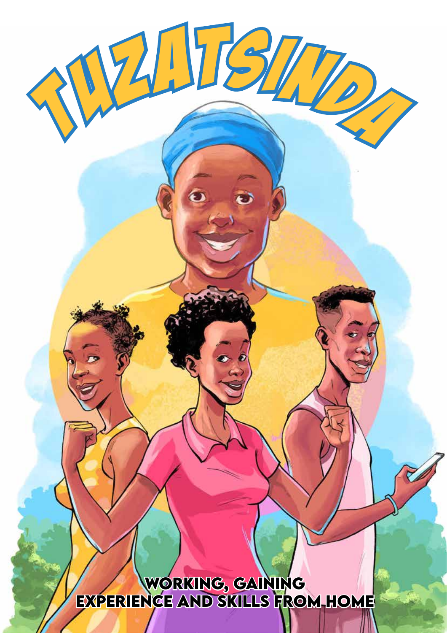**Working, gaining experience and skills from home**

 $\bullet$ 

 $215$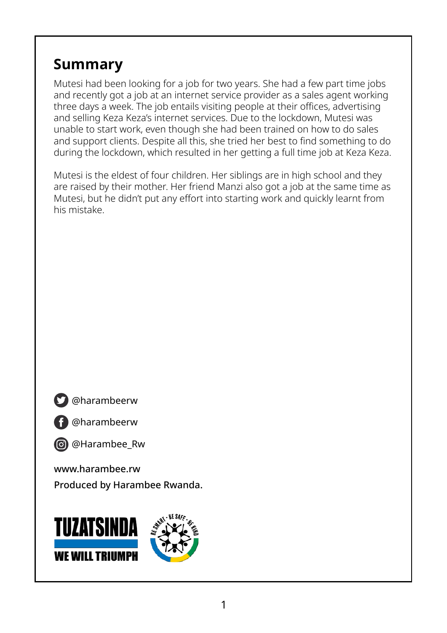## **Summary**

Mutesi had been looking for a job for two years. She had a few part time jobs and recently got a job at an internet service provider as a sales agent working three days a week. The job entails visiting people at their offices, advertising and selling Keza Keza's internet services. Due to the lockdown, Mutesi was unable to start work, even though she had been trained on how to do sales and support clients. Despite all this, she tried her best to find something to do during the lockdown, which resulted in her getting a full time job at Keza Keza.

Mutesi is the eldest of four children. Her siblings are in high school and they are raised by their mother. Her friend Manzi also got a job at the same time as Mutesi, but he didn't put any effort into starting work and quickly learnt from his mistake.

**S** @harambeerw

@harambeerw



www.harambee.rw Produced by Harambee Rwanda.

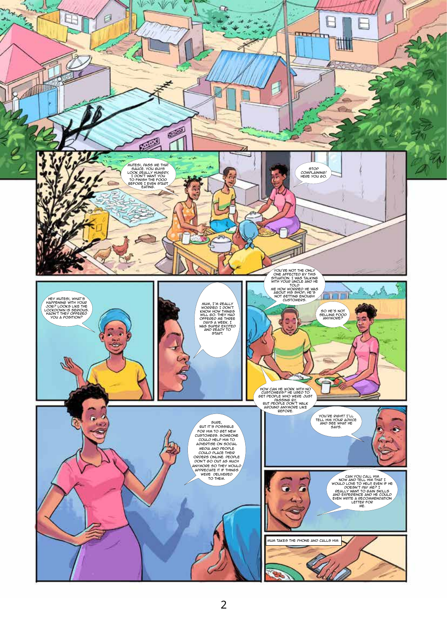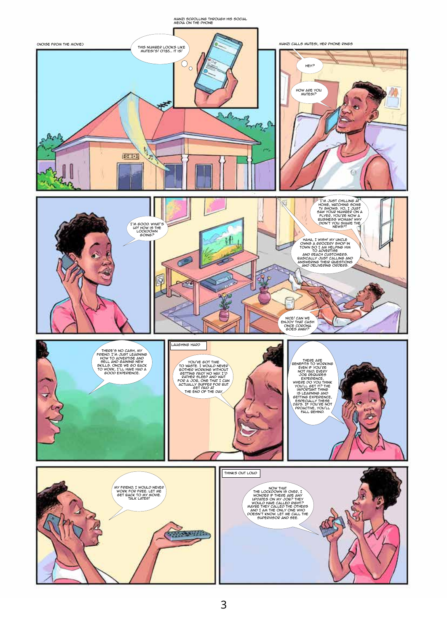

3

Manzi scrolling through his social media on the phone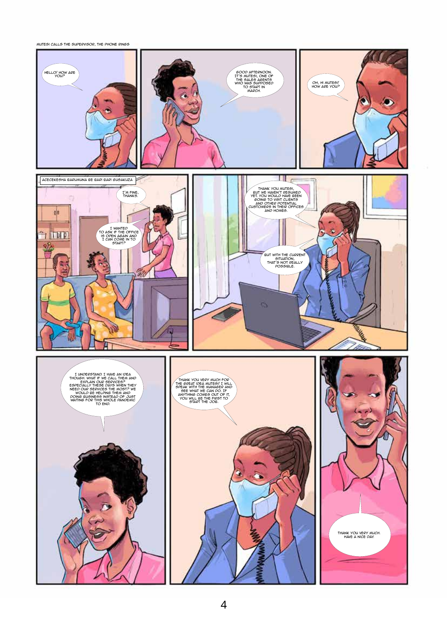Mutesi calls the supervisor, the phone rings